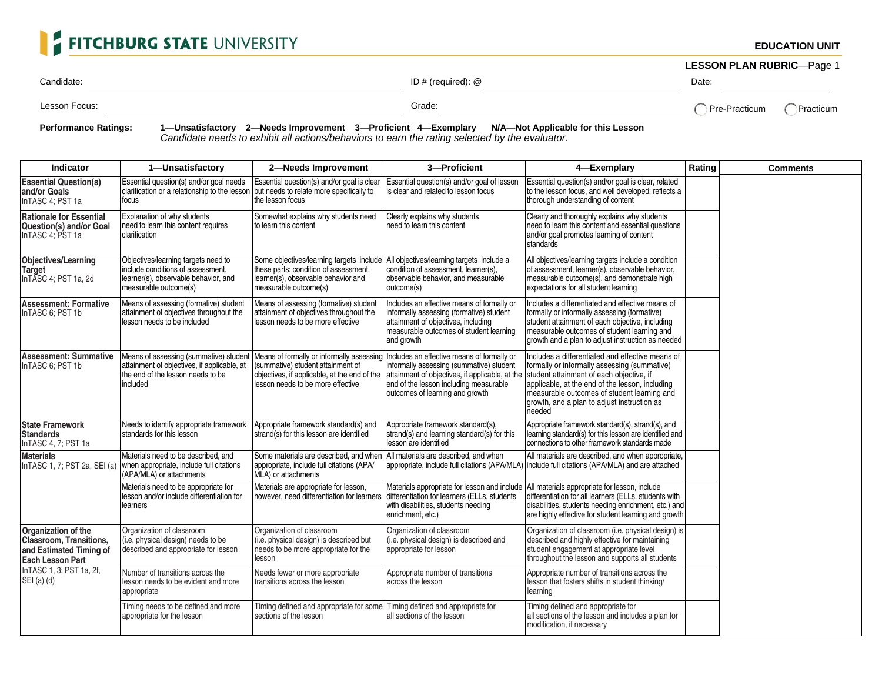## FITCHBURG STATE UNIVERSITY

**EDUCATION UNIT**

**LESSON PLAN RUBRIC**—Page 1

Candidate: Candidate: Candidate: ID # (required): @ Date: Date: Date: Date: Date: Date: Date: Date: Date: Date:

Lesson Focus:  $\bigcap$  Pre-Practicum  $\bigcap$  Practicum  $\bigcap$  Practicum  $\bigcap$  Practicum

**Performance Ratings: 1—Unsatisfactory 2—Needs Improvement 3—Proficient 4—Exemplary N/A—Not Applicable for this Lesson** Candidate needs to exhibit all actions/behaviors to earn the rating selected by the evaluator.

| Indicator                                                                                                                                                 | 1-Unsatisfactory                                                                                                                            | 2-Needs Improvement                                                                                                                                                                                          | 3-Proficient                                                                                                                                                                                                                                                    | 4-Exemplary                                                                                                                                                                                                                                                           | Rating                   | <b>Comments</b> |
|-----------------------------------------------------------------------------------------------------------------------------------------------------------|---------------------------------------------------------------------------------------------------------------------------------------------|--------------------------------------------------------------------------------------------------------------------------------------------------------------------------------------------------------------|-----------------------------------------------------------------------------------------------------------------------------------------------------------------------------------------------------------------------------------------------------------------|-----------------------------------------------------------------------------------------------------------------------------------------------------------------------------------------------------------------------------------------------------------------------|--------------------------|-----------------|
| <b>Essential Question(s)</b><br>and/or Goals<br>InTASC 4; PST 1a                                                                                          | Essential question(s) and/or goal needs<br>clarification or a relationship to the lesson Ibut needs to relate more specifically to<br>focus | Essential question(s) and/or goal is clear<br>the lesson focus                                                                                                                                               | Essential question(s) and/or goal of lesson<br>is clear and related to lesson focus                                                                                                                                                                             | Essential question(s) and/or goal is clear, related<br>to the lesson focus, and well developed; reflects a<br>thorough understanding of content                                                                                                                       | $\blacktriangledown$     |                 |
| <b>Rationale for Essential</b><br><b>Question(s) and/or Goal</b><br>InTASC 4: PST 1a                                                                      | Explanation of why students<br>need to learn this content requires<br>clarification                                                         | Somewhat explains why students need<br>to learn this content                                                                                                                                                 | Clearly explains why students<br>need to learn this content                                                                                                                                                                                                     | Clearly and thoroughly explains why students<br>need to learn this content and essential questions<br>and/or goal promotes learning of content<br>standards                                                                                                           |                          |                 |
| <b>Objectives/Learning</b><br><b>Target</b><br>InTASC 4; PST 1a, 2d                                                                                       | Objectives/learning targets need to<br>include conditions of assessment,<br>learner(s), observable behavior, and<br>measurable outcome(s)   | Some objectives/learning targets include<br>these parts: condition of assessment,<br>learner(s), observable behavior and<br>measurable outcome(s)                                                            | All objectives/learning targets include a<br>condition of assessment, learner(s),<br>observable behavior, and measurable<br>outcome(s)                                                                                                                          | All objectives/learning targets include a condition<br>of assessment, learner(s), observable behavior,<br>measurable outcome(s), and demonstrate high<br>expectations for all student learning                                                                        |                          |                 |
| <b>Assessment: Formative</b><br>InTASC 6: PST 1b                                                                                                          | Means of assessing (formative) student<br>attainment of objectives throughout the<br>lesson needs to be included                            | Means of assessing (formative) student<br>attainment of objectives throughout the<br>lesson needs to be more effective                                                                                       | Includes an effective means of formally or<br>informally assessing (formative) student<br>attainment of objectives, including<br>measurable outcomes of student learning<br>and growth                                                                          | Includes a differentiated and effective means of<br>formally or informally assessing (formative)<br>student attainment of each objective, including<br>measurable outcomes of student learning and<br>growth and a plan to adjust instruction as needed               |                          |                 |
| <b>Assessment: Summative</b><br>InTASC 6; PST 1b                                                                                                          | attainment of objectives, if applicable, at<br>the end of the lesson needs to be<br>included                                                | Means of assessing (summative) student   Means of formally or informally assessing<br>(summative) student attainment of<br>objectives, if applicable, at the end of the<br>lesson needs to be more effective | Includes an effective means of formally or<br>informally assessing (summative) student<br>attainment of objectives, if applicable, at the student attainment of each objective, if<br>end of the lesson including measurable<br>outcomes of learning and growth | Includes a differentiated and effective means of<br>formally or informally assessing (summative)<br>applicable, at the end of the lesson, including<br>measurable outcomes of student learning and<br>growth, and a plan to adjust instruction as<br>needed           |                          |                 |
| <b>State Framework</b><br><b>Standards</b><br>InTASC 4, 7; PST 1a                                                                                         | Needs to identify appropriate framework<br>standards for this lesson                                                                        | Appropriate framework standard(s) and<br>strand(s) for this lesson are identified                                                                                                                            | Appropriate framework standard(s),<br>strand(s) and learning standard(s) for this<br>lesson are identified                                                                                                                                                      | Appropriate framework standard(s), strand(s), and<br>learning standard(s) for this lesson are identified and<br>connections to other framework standards made                                                                                                         |                          |                 |
| <b>Materials</b><br>InTASC 1, 7; PST 2a, SEI (a)                                                                                                          | Materials need to be described, and<br>when appropriate, include full citations<br>(APA/MLA) or attachments                                 | Some materials are described, and when<br>appropriate, include full citations (APA/<br>MLA) or attachments                                                                                                   | All materials are described, and when                                                                                                                                                                                                                           | All materials are described, and when appropriate,<br>appropriate, include full citations (APA/MLA) include full citations (APA/MLA) and are attached                                                                                                                 | $\blacktriangledown$     |                 |
|                                                                                                                                                           | Materials need to be appropriate for<br>lesson and/or include differentiation for<br>learners                                               | Materials are appropriate for lesson,<br>however, need differentiation for learners                                                                                                                          | differentiation for learners (ELLs, students<br>with disabilities, students needing<br>enrichment, etc.)                                                                                                                                                        | Materials appropriate for lesson and include   All materials appropriate for lesson, include<br>differentiation for all learners (ELLs, students with<br>disabilities, students needing enrichment, etc.) and<br>are highly effective for student learning and growth | ▼                        |                 |
| Organization of the<br><b>Classroom. Transitions.</b><br>and Estimated Timing of<br><b>Each Lesson Part</b><br>InTASC 1, 3; PST 1a, 2f,<br>$SEI(a)$ $(d)$ | Organization of classroom<br>(i.e. physical design) needs to be<br>described and appropriate for lesson                                     | Organization of classroom<br>(i.e. physical design) is described but<br>needs to be more appropriate for the<br>lesson                                                                                       | Organization of classroom<br>(i.e. physical design) is described and<br>appropriate for lesson                                                                                                                                                                  | Organization of classroom (i.e. physical design) is<br>described and highly effective for maintaining<br>student engagement at appropriate level<br>throughout the lesson and supports all students                                                                   |                          |                 |
|                                                                                                                                                           | Number of transitions across the<br>lesson needs to be evident and more<br>appropriate                                                      | Needs fewer or more appropriate<br>transitions across the lesson                                                                                                                                             | Appropriate number of transitions<br>across the lesson                                                                                                                                                                                                          | Appropriate number of transitions across the<br>lesson that fosters shifts in student thinking/<br>learning                                                                                                                                                           |                          |                 |
|                                                                                                                                                           | Timing needs to be defined and more<br>appropriate for the lesson                                                                           | Timing defined and appropriate for some   Timing defined and appropriate for<br>sections of the lesson                                                                                                       | all sections of the lesson                                                                                                                                                                                                                                      | Timing defined and appropriate for<br>all sections of the lesson and includes a plan for<br>modification, if necessary                                                                                                                                                | $\overline{\phantom{a}}$ |                 |